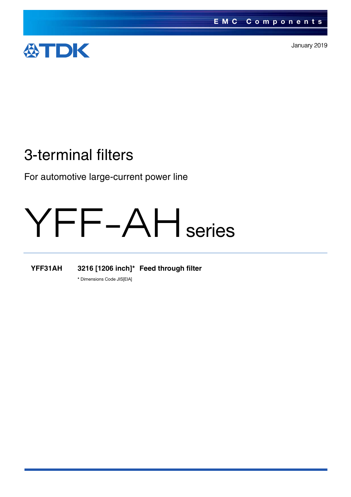

January 2019

# 3-terminal filters

For automotive large-current power line

# YFF-AH<sub>series</sub>

**YFF31AH 3216 [1206 inch]\* Feed through filter**

**\*** Dimensions Code JIS[EIA]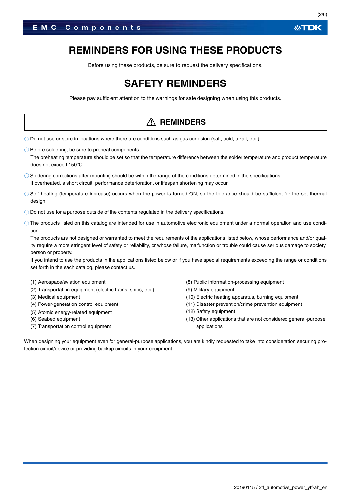## **EMC Components**

## **REMINDERS FOR USING THESE PRODUCTS**

Before using these products, be sure to request the delivery specifications.

## **SAFETY REMINDERS**

Please pay sufficient attention to the warnings for safe designing when using this products.

## Do not use or store in locations where there are conditions such as gas corrosion (salt, acid, alkali, etc.). ◯ Before soldering, be sure to preheat components. The preheating temperature should be set so that the temperature difference between the solder temperature and product temperature does not exceed 150°C.  $\bigcirc$  Soldering corrections after mounting should be within the range of the conditions determined in the specifications. If overheated, a short circuit, performance deterioration, or lifespan shortening may occur.  $\bigcirc$  Self heating (temperature increase) occurs when the power is turned ON, so the tolerance should be sufficient for the set thermal design.  $\bigcirc$  Do not use for a purpose outside of the contents regulated in the delivery specifications. The products listed on this catalog are intended for use in automotive electronic equipment under a normal operation and use condition. The products are not designed or warranted to meet the requirements of the applications listed below, whose performance and/or quality require a more stringent level of safety or reliability, or whose failure, malfunction or trouble could cause serious damage to society, person or property. If you intend to use the products in the applications listed below or if you have special requirements exceeding the range or conditions set forth in the each catalog, please contact us. (1) Aerospace/aviation equipment (2) Transportation equipment (electric trains, ships, etc.) (3) Medical equipment (8) Public information-processing equipment (9) Military equipment **REMINDERS**

- (4) Power-generation control equipment
- (5) Atomic energy-related equipment
- (6) Seabed equipment
- (7) Transportation control equipment
- (10) Electric heating apparatus, burning equipment
- (11) Disaster prevention/crime prevention equipment
- (12) Safety equipment
- (13) Other applications that are not considered general-purpose applications

When designing your equipment even for general-purpose applications, you are kindly requested to take into consideration securing protection circuit/device or providing backup circuits in your equipment.

公TDK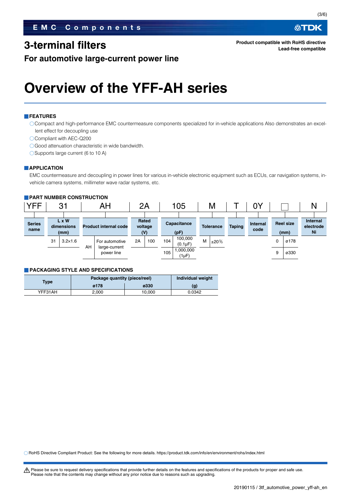## **3-terminal filters**

公TDK

**Product compatible with RoHS directive Lead-free compatible**

**For automotive large-current power line**

## **Overview of the YFF-AH series**

#### **FEATURES**

Compact and high-performance EMC countermeasure components specialized for in-vehicle applications Also demonstrates an excellent effect for decoupling use

Compliant with AEC-Q200

Good attenuation characteristic in wide bandwidth.

◯ Supports large current (6 to 10 A)

#### **APPLICATION**

EMC countermeasure and decoupling in power lines for various in-vehicle electronic equipment such as ECUs, car navigation systems, invehicle camera systems, millimeter wave radar systems, etc.

#### **PART NUMBER CONSTRUCTION**

| <b>YFF</b>            | 31                          |                  | AH                           |                | 2A                      |     | 105                 |                         |   | М             |                         | 0Υ                       |   |                                    | N |
|-----------------------|-----------------------------|------------------|------------------------------|----------------|-------------------------|-----|---------------------|-------------------------|---|---------------|-------------------------|--------------------------|---|------------------------------------|---|
|                       |                             |                  |                              |                |                         |     |                     |                         |   |               |                         |                          |   |                                    |   |
| <b>Series</b><br>name | L x W<br>dimensions<br>(mm) |                  | <b>Product internal code</b> |                | Rated<br>voltage<br>(V) |     | Capacitance<br>(pF) | <b>Tolerance</b>        |   | <b>Taping</b> | <b>Internal</b><br>code | <b>Reel size</b><br>(mm) |   | <b>Internal</b><br>electrode<br>Ni |   |
|                       | 31                          | $3.2 \times 1.6$ | AH                           | For automotive | 2A                      | 100 | $104$ .             | 100,000<br>$(0.1\mu F)$ | M | ±20%          |                         |                          | 0 | ø178                               |   |
|                       |                             |                  | large-current<br>power line  |                |                         |     | 105                 | 1,000,000<br>(1µF)      |   |               |                         |                          | 9 | ø330                               |   |

#### **PACKAGING STYLE AND SPECIFICATIONS**

| <b>Type</b> | Package quantity (piece/reel) | Individual weight |        |  |
|-------------|-------------------------------|-------------------|--------|--|
|             | ø178                          | ø330              | (g)    |  |
| YFF31AH     | 2.000                         | 10.000            | 0.0342 |  |

RoHS Directive Compliant Product: See the following for more details. https://product.tdk.com/info/en/environment/rohs/index.html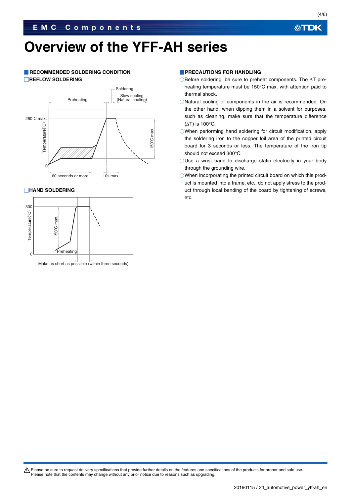(4/6)

## **Overview of the YFF-AH series**

### **RECOMMENDED SOLDERING CONDITION REFLOW SOLDERING**



#### **HAND SOLDERING**



Make as short as possilble (within three seconds)

#### **PRECAUTIONS FOR HANDLING**

- $\bigcirc$  Before soldering, be sure to preheat components. The  $\Delta T$  preheating temperature must be 150°C max. with attention paid to thermal shock.
- Natural cooling of components in the air is recommended. On the other hand, when dipping them in a solvent for purposes, such as cleaning, make sure that the temperature difference  $(\Delta T)$  is 100°C.
- When performing hand soldering for circuit modification, apply the soldering iron to the copper foil area of the printed circuit board for 3 seconds or less. The temperature of the iron tip should not exceed 300°C.
- OUse a wrist band to discharge static electricity in your body through the grounding wire.
- When incorporating the printed circuit board on which this product is mounted into a frame, etc., do not apply stress to the product through local bending of the board by tightening of screws, etc.

t Please be sure to request delivery specifications that provide further details on the features and specifications of the products for proper and safe use. Please note that the contents may change without any prior notice due to reasons such as upgrading.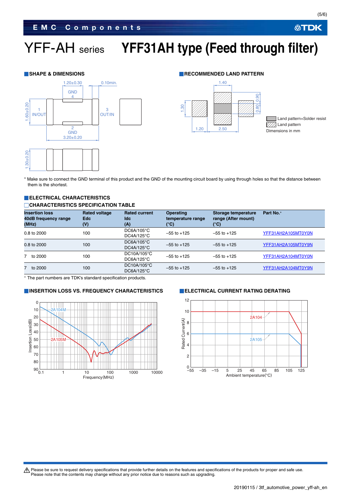# YFF-AH series **YFF31AH type (Feed through filter)**



#### **SHAPE & DIMENSIONS RECOMMENDED LAND PATTERN**



Land pattern+Solder resist  $\mathbb{Z}/\mathbb{Z}$  Land pattern Dimensions in mm

\* Make sure to connect the GND terminal of this product and the GND of the mounting circuit board by using through holes so that the distance between them is the shortest.

#### **ELECTRICAL CHARACTERISTICS CHARACTERISTICS SPECIFICATION TABLE**

| <b>Insertion loss</b><br>40dB frequency range<br>(MHz) | <b>Rated voltage</b><br><b>Edc</b><br>(V) | <b>Rated current</b><br><b>Idc</b><br>(A)   | Operating<br>temperature range<br>(°C) | Storage temperature<br>range (After mount)<br>(°C) | Part No.*          |
|--------------------------------------------------------|-------------------------------------------|---------------------------------------------|----------------------------------------|----------------------------------------------------|--------------------|
| 0.8 to 2000                                            | 100                                       | $DC6A/105^{\circ}C$<br>$DCAA/125^{\circ}C$  | $-55$ to $+125$                        | $-55$ to $+125$                                    | YFF31AH2A105MT0Y0N |
| 0.8 to 2000                                            | 100                                       | $DC6A/105^{\circ}C$<br>$DCAA/125^{\circ}C$  | $-55$ to $+125$                        | $-55$ to $+125$                                    | YFF31AH2A105MT0Y9N |
| 7 to 2000                                              | 100                                       | DC10A/105°C<br>$DC6A/125^{\circ}C$          | $-55$ to $+125$                        | $-55$ to $+125$                                    | YFF31AH2A104MT0Y0N |
| to 2000                                                | 100                                       | $DC10A/105^{\circ}C$<br>$DC6A/125^{\circ}C$ | $-55$ to $+125$                        | $-55$ to $+125$                                    | YFF31AH2A104MT0Y9N |

The part numbers are TDK's standard specification products.

### **INSERTION LOSS VS. FREQUENCY CHARACTERISTICS IN ELECTRICAL CURRENT RATING DERATING**





Please be sure to request delivery specifications that provide further details on the features and specifications of the products for proper and safe use.<br>Please note that the contents may change without any prior notice d

**公TDK**